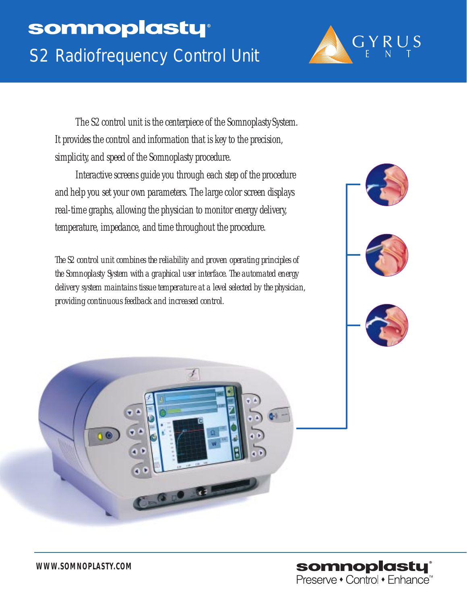

The S2 control unit is the centerpiece of the Somnoplasty System. It provides the control and information that is key to the precision, simplicity, and speed of the Somnoplasty procedure.

Interactive screens guide you through each step of the procedure and help you set your own parameters. The large color screen displays real-time graphs, allowing the physician to monitor energy delivery, temperature, impedance, and time throughout the procedure.

*The S2 control unit combines the reliability and proven operating principles of the Somnoplasty System with a graphical user interface. The automated energy delivery system maintains tissue temperature at a level selected by the physician, providing continuous feedback and increased control.*